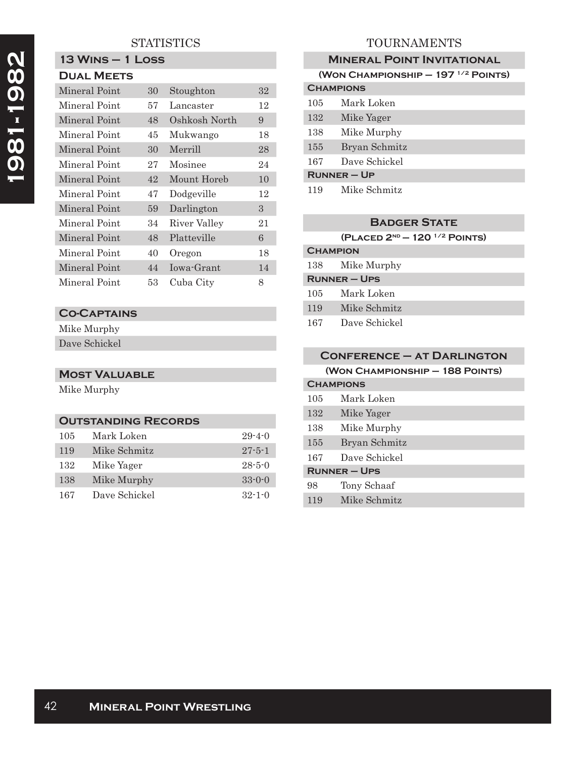### **STATISTICS**

| $13$ Wins $-1$ Loss |    |               |     |
|---------------------|----|---------------|-----|
| <b>DUAL MEETS</b>   |    |               |     |
| Mineral Point       | 30 | Stoughton     | 32  |
| Mineral Point       |    | 57 Lancaster  | 12  |
| Mineral Point       | 48 | Oshkosh North | 9   |
| Minoral Point       |    | $45$ Mukwango | 1 Q |

| Mineral Point | 45 | Mukwango     | 18 |
|---------------|----|--------------|----|
| Mineral Point | 30 | Merrill      | 28 |
| Mineral Point | 27 | Mosinee      | 24 |
| Mineral Point | 42 | Mount Horeb  | 10 |
| Mineral Point | 47 | Dodgeville   | 12 |
| Mineral Point | 59 | Darlington   | 3  |
| Mineral Point | 34 | River Valley | 21 |
| Mineral Point | 48 | Platteville  | 6  |
| Mineral Point | 40 | Oregon       | 18 |
| Mineral Point | 44 | Iowa-Grant   | 14 |
| Mineral Point | 53 | Cuba City    | 8  |

# **Co-Captains**

Mike Murphy Dave Schickel

### **Most Valuable**

Mike Murphy

#### **Outstanding Records**

| 105 | Mark Loken    | $29 - 4 - 0$ |
|-----|---------------|--------------|
| 119 | Mike Schmitz  | $27 - 5 - 1$ |
| 132 | Mike Yager    | $28 - 5 - 0$ |
| 138 | Mike Murphy   | $33-0-0$     |
| 167 | Dave Schickel | $32 - 1 - 0$ |

### TOURNAMENTS

|                  | <b>MINERAL POINT INVITATIONAL</b>         |  |  |
|------------------|-------------------------------------------|--|--|
|                  | (WON CHAMPIONSHIP $-197$ $^{1/2}$ POINTS) |  |  |
| <b>CHAMPIONS</b> |                                           |  |  |
| 105              | Mark Loken                                |  |  |
| 132              | Mike Yager                                |  |  |
| 138              | Mike Murphy                               |  |  |
| 155              | Bryan Schmitz                             |  |  |
| 167              | Dave Schickel                             |  |  |
|                  | $R$ UNNER – UP                            |  |  |
| 119              | Mike Schmitz                              |  |  |

#### **Badger State**

**(Placed 2nd — 120 1/2 Points)**

| <b>CHAMPION</b> |                     |  |
|-----------------|---------------------|--|
| 138             | Mike Murphy         |  |
|                 | <b>RUNNER – UPS</b> |  |
| 105             | Mark Loken          |  |
| 119             | Mike Schmitz        |  |
| 167             | Dave Schickel       |  |

| <b>CONFERENCE - AT DARLINGTON</b> |                                 |  |  |
|-----------------------------------|---------------------------------|--|--|
|                                   | (WON CHAMPIONSHIP - 188 POINTS) |  |  |
| <b>CHAMPIONS</b>                  |                                 |  |  |
| 105                               | Mark Loken                      |  |  |
| 132                               | Mike Yager                      |  |  |
| 138                               | Mike Murphy                     |  |  |
| 155                               | Bryan Schmitz                   |  |  |
| 167                               | Dave Schickel                   |  |  |
| <b>RUNNER - UPS</b>               |                                 |  |  |
| 98                                | Tony Schaaf                     |  |  |
| 119                               | Mike Schmitz                    |  |  |